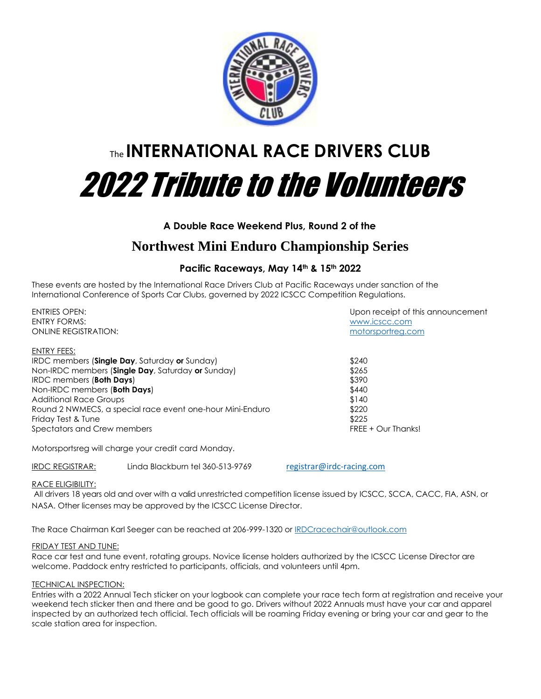

# The **INTERNATIONAL RACE DRIVERS CLUB** 2022 Tribute to the Volunteers

## **A Double Race Weekend Plus, Round 2 of the**

## **Northwest Mini Enduro Championship Series**

## **Pacific Raceways, May 14th & 15th 2022**

These events are hosted by the International Race Drivers Club at Pacific Raceways under sanction of the International Conference of Sports Car Clubs, governed by 2022 ICSCC Competition Regulations.

ENTRIES OPEN: Upon receipt of this announcement ENTRY FORMS: [www.icscc.com](http://www.icscc.com/) ONLINE REGISTRATION: [motorsportreg.com](https://www.motorsportreg.com/events/2022-tribute-to-volunteers-pacific-raceways-irdc-events-337569) ENTRY FEES: IRDC members (**Single Day**, Saturday **or** Sunday) \$240 Non-IRDC members (**Single Day**, Saturday **or** Sunday) \$265 **IRDC** members (**Both Days**) **\$390** Non-IRDC members (**Both Days**) **\$440** Additional Race Groups  $$140$ Round 2 NWMECS, a special race event one-hour Mini-Enduro \$220 Friday Test & Tune \$225 Spectators and Crew members FREE + Our Thanks!

Motorsportsreg will charge your credit card Monday.

IRDC REGISTRAR: Linda Blackburn tel 360-513-9769 [registrar@irdc-racing.com](mailto:registrar@irdc-racing.com)

#### RACE ELIGIBILITY:

All drivers 18 years old and over with a valid unrestricted competition license issued by ICSCC, SCCA, CACC, FIA, ASN, or NASA. Other licenses may be approved by the ICSCC License Director.

The Race Chairman Karl Seeger can be reached at 206-999-1320 or **IRDCracechair@outlook.com** 

#### FRIDAY TEST AND TUNE:

Race car test and tune event, rotating groups. Novice license holders authorized by the ICSCC License Director are welcome. Paddock entry restricted to participants, officials, and volunteers until 4pm.

### TECHNICAL INSPECTION:

Entries with a 2022 Annual Tech sticker on your logbook can complete your race tech form at registration and receive your weekend tech sticker then and there and be good to go. Drivers without 2022 Annuals must have your car and apparel inspected by an authorized tech official. Tech officials will be roaming Friday evening or bring your car and gear to the scale station area for inspection.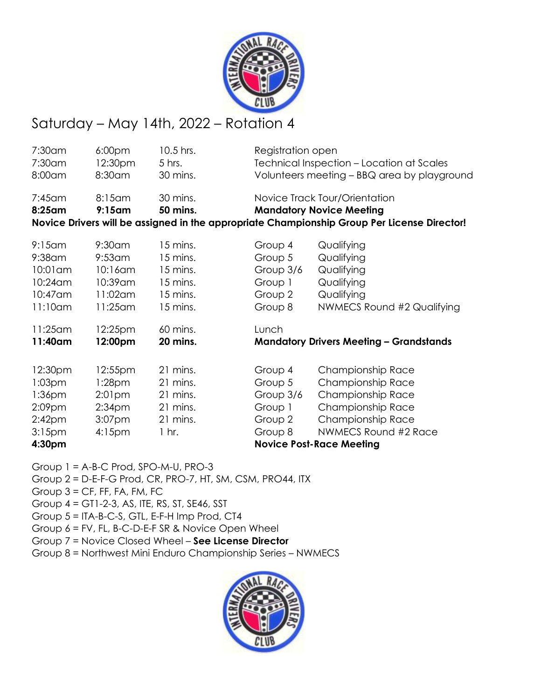

# Saturday – May 14th, 2022 – Rotation 4

| 7:30am             | 6:00 <sub>pm</sub> | 10.5 hrs. | Registration open                              |                                                                                             |  |
|--------------------|--------------------|-----------|------------------------------------------------|---------------------------------------------------------------------------------------------|--|
| 7:30am             | 12:30pm            | 5 hrs.    | Technical Inspection - Location at Scales      |                                                                                             |  |
| 8:00am             | 8:30am             | 30 mins.  | Volunteers meeting - BBQ area by playground    |                                                                                             |  |
| $7:45$ am          | 8:15am             | 30 mins.  | Novice Track Tour/Orientation                  |                                                                                             |  |
| 8:25am             | $9:15$ am          | 50 mins.  | <b>Mandatory Novice Meeting</b>                |                                                                                             |  |
|                    |                    |           |                                                | Novice Drivers will be assigned in the appropriate Championship Group Per License Director! |  |
| $9:15$ am          | $9:30$ am          | 15 mins.  | Group 4                                        | Qualifying                                                                                  |  |
| $9:38$ am          | $9:53$ am          | 15 mins.  | Group 5                                        | Qualifying                                                                                  |  |
| 10:01 am           | $10:16$ am         | 15 mins.  | Group 3/6                                      | Qualifying                                                                                  |  |
| $10:24$ am         | 10:39 am           | 15 mins.  | Group 1                                        | Qualifying                                                                                  |  |
| 10:47 am           | 11:02am            | 15 mins.  | Group 2                                        | Qualifying                                                                                  |  |
| $11:10$ am         | 11:25 am           | 15 mins.  | Group 8                                        | NWMECS Round #2 Qualifying                                                                  |  |
| $11:25$ am         | 12:25pm            | 60 mins.  | Lunch                                          |                                                                                             |  |
| 11:40am            | 12:00pm            | 20 mins.  | <b>Mandatory Drivers Meeting - Grandstands</b> |                                                                                             |  |
| 12:30pm            | 12:55pm            | 21 mins.  | Group 4                                        | Championship Race                                                                           |  |
| 1:03 <sub>pm</sub> | 1:28 <sub>pm</sub> | 21 mins.  | Group 5                                        | Championship Race                                                                           |  |
| $1:36$ pm          | 2:01 <sub>pm</sub> | 21 mins.  | Group 3/6                                      | Championship Race                                                                           |  |
| 2:09 <sub>pm</sub> | 2:34 <sub>pm</sub> | 21 mins.  | Group 1                                        | Championship Race                                                                           |  |
| 2:42 <sub>pm</sub> | 3:07pm             | 21 mins.  | Group 2                                        | Championship Race                                                                           |  |
| $3:15$ pm          | $4:15$ pm          | $1$ hr.   | Group 8                                        | NWMECS Round #2 Race                                                                        |  |
| 4:30pm             |                    |           |                                                | <b>Novice Post-Race Meeting</b>                                                             |  |
|                    |                    |           |                                                |                                                                                             |  |

Group 1 = A-B-C Prod, SPO-M-U, PRO-3

- Group 2 = D-E-F-G Prod, CR, PRO-7, HT, SM, CSM, PRO44, ITX
- Group  $3 = CF$ , FF, FA, FM, FC
- Group 4 = GT1-2-3, AS, ITE, RS, ST, SE46, SST
- Group 5 = ITA-B-C-S, GTL, E-F-H Imp Prod, CT4
- Group 6 = FV, FL, B-C-D-E-F SR & Novice Open Wheel
- Group 7 = Novice Closed Wheel **See License Director**
- Group 8 = Northwest Mini Enduro Championship Series NWMECS